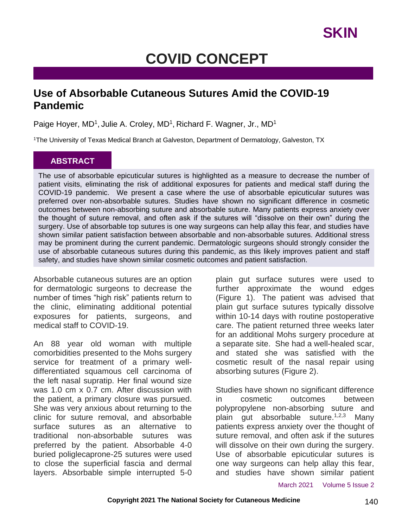## **COVID CONCEPT**

#### **Use of Absorbable Cutaneous Sutures Amid the COVID-19 Pandemic**

Paige Hoyer, MD<sup>1</sup>, Julie A. Croley, MD<sup>1</sup>, Richard F. Wagner, Jr., MD<sup>1</sup>

<sup>1</sup>The University of Texas Medical Branch at Galveston, Department of Dermatology, Galveston, TX

#### **ABSTRACT**

The use of absorbable epicuticular sutures is highlighted as a measure to decrease the number of patient visits, eliminating the risk of additional exposures for patients and medical staff during the COVID-19 pandemic. We present a case where the use of absorbable epicuticular sutures was preferred over non-absorbable sutures. Studies have shown no significant difference in cosmetic outcomes between non-absorbing suture and absorbable suture. Many patients express anxiety over the thought of suture removal, and often ask if the sutures will "dissolve on their own" during the surgery. Use of absorbable top sutures is one way surgeons can help allay this fear, and studies have shown similar patient satisfaction between absorbable and non-absorbable sutures. Additional stress may be prominent during the current pandemic. Dermatologic surgeons should strongly consider the use of absorbable cutaneous sutures during this pandemic, as this likely improves patient and staff safety, and studies have shown similar cosmetic outcomes and patient satisfaction.

Absorbable cutaneous sutures are an option for dermatologic surgeons to decrease the number of times "high risk" patients return to the clinic, eliminating additional potential exposures for patients, surgeons, and medical staff to COVID-19.

An 88 year old woman with multiple comorbidities presented to the Mohs surgery service for treatment of a primary welldifferentiated squamous cell carcinoma of the left nasal supratip. Her final wound size was 1.0 cm x 0.7 cm. After discussion with the patient, a primary closure was pursued. She was very anxious about returning to the clinic for suture removal, and absorbable surface sutures as an alternative to traditional non-absorbable sutures was preferred by the patient. Absorbable 4-0 buried poliglecaprone-25 sutures were used to close the superficial fascia and dermal layers. Absorbable simple interrupted 5-0 plain gut surface sutures were used to further approximate the wound edges (Figure 1). The patient was advised that plain gut surface sutures typically dissolve within 10-14 days with routine postoperative care. The patient returned three weeks later for an additional Mohs surgery procedure at a separate site. She had a well-healed scar, and stated she was satisfied with the cosmetic result of the nasal repair using absorbing sutures (Figure 2).

Studies have shown no significant difference in cosmetic outcomes between polypropylene non-absorbing suture and plain gut absorbable suture.<sup>1,2,3</sup> Many patients express anxiety over the thought of suture removal, and often ask if the sutures will dissolve on their own during the surgery. Use of absorbable epicuticular sutures is one way surgeons can help allay this fear, and studies have shown similar patient

March 2021 Volume 5 Issue 2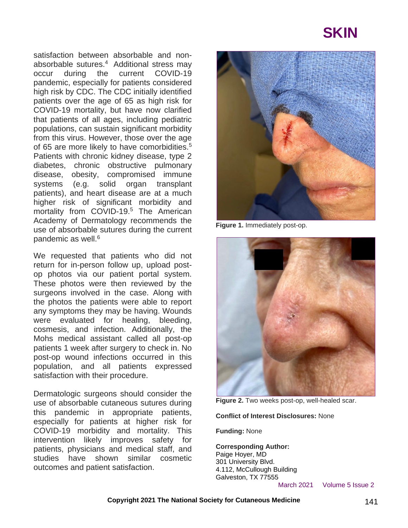# **SKIN**

satisfaction between absorbable and nonabsorbable sutures.<sup>4</sup> Additional stress may occur during the current COVID-19 pandemic, especially for patients considered high risk by CDC. The CDC initially identified patients over the age of 65 as high risk for COVID-19 mortality, but have now clarified that patients of all ages, including pediatric populations, can sustain significant morbidity from this virus. However, those over the age of 65 are more likely to have comorbidities.<sup>5</sup> Patients with chronic kidney disease, type 2 diabetes, chronic obstructive pulmonary disease, obesity, compromised immune systems (e.g. solid organ transplant patients), and heart disease are at a much higher risk of significant morbidity and mortality from COVID-19.<sup>5</sup> The American Academy of Dermatology recommends the use of absorbable sutures during the current pandemic as well.<sup>6</sup>

We requested that patients who did not return for in-person follow up, upload postop photos via our patient portal system. These photos were then reviewed by the surgeons involved in the case. Along with the photos the patients were able to report any symptoms they may be having. Wounds were evaluated for healing, bleeding, cosmesis, and infection. Additionally, the Mohs medical assistant called all post-op patients 1 week after surgery to check in. No post-op wound infections occurred in this population, and all patients expressed satisfaction with their procedure.

Dermatologic surgeons should consider the use of absorbable cutaneous sutures during this pandemic in appropriate patients, especially for patients at higher risk for COVID-19 morbidity and mortality. This intervention likely improves safety for patients, physicians and medical staff, and studies have shown similar cosmetic outcomes and patient satisfaction.



**Figure 1.** Immediately post-op.



**Figure 2.** Two weeks post-op, well-healed scar.

**Conflict of Interest Disclosures:** None

**Funding:** None

**Corresponding Author:** Paige Hoyer, MD 301 University Blvd. 4.112, McCullough Building Galveston, TX 77555

March 2021 Volume 5 Issue 2